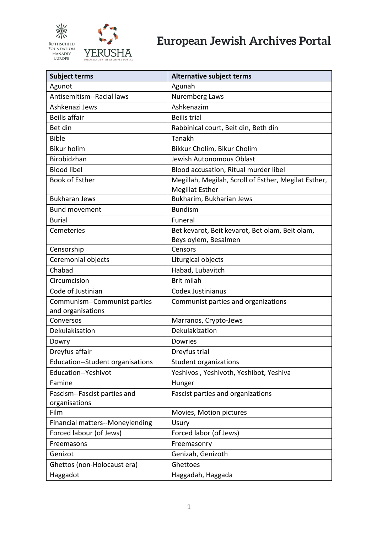

| <b>Subject terms</b>                              | <b>Alternative subject terms</b>                                               |
|---------------------------------------------------|--------------------------------------------------------------------------------|
| Agunot                                            | Agunah                                                                         |
| Antisemitism--Racial laws                         | Nuremberg Laws                                                                 |
| Ashkenazi Jews                                    | Ashkenazim                                                                     |
| <b>Beilis affair</b>                              | <b>Beilis trial</b>                                                            |
| Bet din                                           | Rabbinical court, Beit din, Beth din                                           |
| <b>Bible</b>                                      | Tanakh                                                                         |
| <b>Bikur holim</b>                                | Bikkur Cholim, Bikur Cholim                                                    |
| Birobidzhan                                       | Jewish Autonomous Oblast                                                       |
| <b>Blood libel</b>                                | Blood accusation, Ritual murder libel                                          |
| <b>Book of Esther</b>                             | Megillah, Megilah, Scroll of Esther, Megilat Esther,<br><b>Megillat Esther</b> |
| <b>Bukharan Jews</b>                              | Bukharim, Bukharian Jews                                                       |
| <b>Bund movement</b>                              | <b>Bundism</b>                                                                 |
| <b>Burial</b>                                     | Funeral                                                                        |
| Cemeteries                                        | Bet kevarot, Beit kevarot, Bet olam, Beit olam,<br>Beys oylem, Besalmen        |
| Censorship                                        | Censors                                                                        |
| Ceremonial objects                                | Liturgical objects                                                             |
| Chabad                                            | Habad, Lubavitch                                                               |
| Circumcision                                      | Brit milah                                                                     |
| Code of Justinian                                 | <b>Codex Justinianus</b>                                                       |
| Communism--Communist parties<br>and organisations | Communist parties and organizations                                            |
| Conversos                                         | Marranos, Crypto-Jews                                                          |
| Dekulakisation                                    | Dekulakization                                                                 |
| Dowry                                             | <b>Dowries</b>                                                                 |
| Dreyfus affair                                    | Dreyfus trial                                                                  |
| Education--Student organisations                  | Student organizations                                                          |
| Education--Yeshivot                               | Yeshivos, Yeshivoth, Yeshibot, Yeshiva                                         |
| Famine                                            | Hunger                                                                         |
| Fascism--Fascist parties and                      | Fascist parties and organizations                                              |
| organisations                                     |                                                                                |
| Film                                              | Movies, Motion pictures                                                        |
| <b>Financial matters--Moneylending</b>            | Usury                                                                          |
| Forced labour (of Jews)                           | Forced labor (of Jews)                                                         |
| Freemasons                                        | Freemasonry                                                                    |
| Genizot                                           | Genizah, Genizoth                                                              |
| Ghettos (non-Holocaust era)                       | Ghettoes                                                                       |
| Haggadot                                          | Haggadah, Haggada                                                              |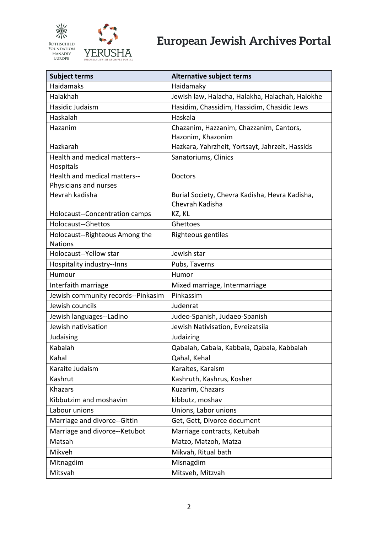

| <b>Subject terms</b>                             | <b>Alternative subject terms</b>                |
|--------------------------------------------------|-------------------------------------------------|
| <b>Haidamaks</b>                                 | Haidamaky                                       |
| Halakhah                                         | Jewish law, Halacha, Halakha, Halachah, Halokhe |
| Hasidic Judaism                                  | Hasidim, Chassidim, Hassidim, Chasidic Jews     |
| Haskalah                                         | Haskala                                         |
| Hazanim                                          | Chazanim, Hazzanim, Chazzanim, Cantors,         |
|                                                  | Hazonim, Khazonim                               |
| Hazkarah                                         | Hazkara, Yahrzheit, Yortsayt, Jahrzeit, Hassids |
| Health and medical matters--                     | Sanatoriums, Clinics                            |
| Hospitals                                        |                                                 |
| Health and medical matters--                     | Doctors                                         |
| Physicians and nurses                            |                                                 |
| Hevrah kadisha                                   | Burial Society, Chevra Kadisha, Hevra Kadisha,  |
| <b>Holocaust--Concentration camps</b>            | Chevrah Kadisha                                 |
| <b>Holocaust--Ghettos</b>                        | KZ, KL<br>Ghettoes                              |
|                                                  |                                                 |
| Holocaust--Righteous Among the<br><b>Nations</b> | Righteous gentiles                              |
| Holocaust--Yellow star                           | Jewish star                                     |
| Hospitality industry--Inns                       | Pubs, Taverns                                   |
| Humour                                           | Humor                                           |
| Interfaith marriage                              | Mixed marriage, Intermarriage                   |
| Jewish community records--Pinkasim               | Pinkassim                                       |
| Jewish councils                                  | Judenrat                                        |
| Jewish languages--Ladino                         | Judeo-Spanish, Judaeo-Spanish                   |
| Jewish nativisation                              | Jewish Nativisation, Evreizatsiia               |
| Judaising                                        | Judaizing                                       |
| Kabalah                                          | Qabalah, Cabala, Kabbala, Qabala, Kabbalah      |
| Kahal                                            | Qahal, Kehal                                    |
| Karaite Judaism                                  | Karaites, Karaism                               |
| Kashrut                                          | Kashruth, Kashrus, Kosher                       |
| <b>Khazars</b>                                   | Kuzarim, Chazars                                |
| Kibbutzim and moshavim                           | kibbutz, moshav                                 |
| Labour unions                                    | Unions, Labor unions                            |
| Marriage and divorce--Gittin                     | Get, Gett, Divorce document                     |
| Marriage and divorce--Ketubot                    | Marriage contracts, Ketubah                     |
| Matsah                                           | Matzo, Matzoh, Matza                            |
| Mikveh                                           | Mikvah, Ritual bath                             |
| Mitnagdim                                        | Misnagdim                                       |
| Mitsvah                                          | Mitsveh, Mitzvah                                |